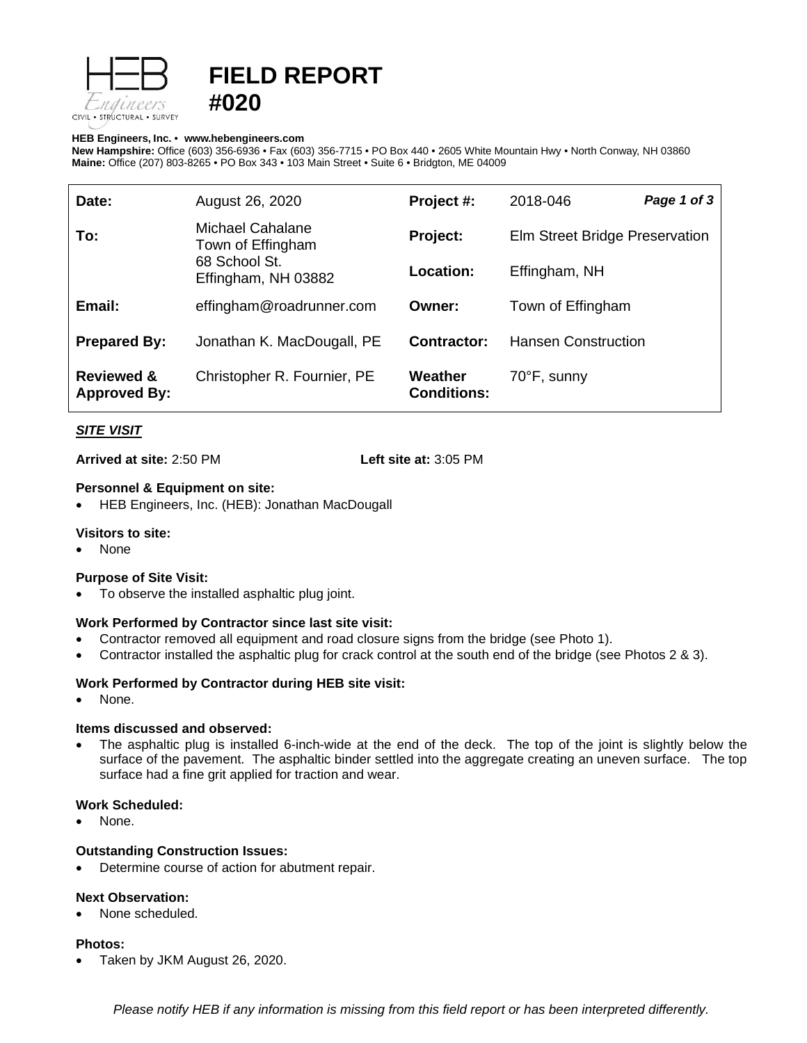

# **FIELD REPORT #020**

#### **HEB Engineers, Inc.** • **[www.hebengineer](http://www.hebengineers.com/)s.com**

**New Hampshire:** Office (603) 356-6936 • Fax (603) 356-7715 • PO Box 440 • 2605 White Mountain Hwy • North Conway, NH 03860 **Maine:** Office (207) 803-8265 • PO Box 343 • 103 Main Street • Suite 6 • Bridgton, ME 04009

| Date:                                        | August 26, 2020                                                               | Project #:                    | 2018-046                       | Page 1 of 3 |
|----------------------------------------------|-------------------------------------------------------------------------------|-------------------------------|--------------------------------|-------------|
| To:                                          | Michael Cahalane<br>Town of Effingham<br>68 School St.<br>Effingham, NH 03882 | Project:                      | Elm Street Bridge Preservation |             |
|                                              |                                                                               | Location:                     | Effingham, NH                  |             |
| Email:                                       | effingham@roadrunner.com                                                      | Owner:                        | Town of Effingham              |             |
| <b>Prepared By:</b>                          | Jonathan K. MacDougall, PE                                                    | Contractor:                   | <b>Hansen Construction</b>     |             |
| <b>Reviewed &amp;</b><br><b>Approved By:</b> | Christopher R. Fournier, PE                                                   | Weather<br><b>Conditions:</b> | 70°F, sunny                    |             |

# *SITE VISIT*

**Arrived at site:** 2:50 PM **Left site at:** 3:05 PM

### **Personnel & Equipment on site:**

• HEB Engineers, Inc. (HEB): Jonathan MacDougall

### **Visitors to site:**

• None

### **Purpose of Site Visit:**

To observe the installed asphaltic plug joint.

### **Work Performed by Contractor since last site visit:**

- Contractor removed all equipment and road closure signs from the bridge (see Photo 1).
- Contractor installed the asphaltic plug for crack control at the south end of the bridge (see Photos 2 & 3).

### **Work Performed by Contractor during HEB site visit:**

None.

### **Items discussed and observed:**

• The asphaltic plug is installed 6-inch-wide at the end of the deck. The top of the joint is slightly below the surface of the pavement. The asphaltic binder settled into the aggregate creating an uneven surface. The top surface had a fine grit applied for traction and wear.

### **Work Scheduled:**

None.

### **Outstanding Construction Issues:**

• Determine course of action for abutment repair.

## **Next Observation:**

None scheduled.

### **Photos:**

• Taken by JKM August 26, 2020.

*Please notify HEB if any information is missing from this field report or has been interpreted differently.*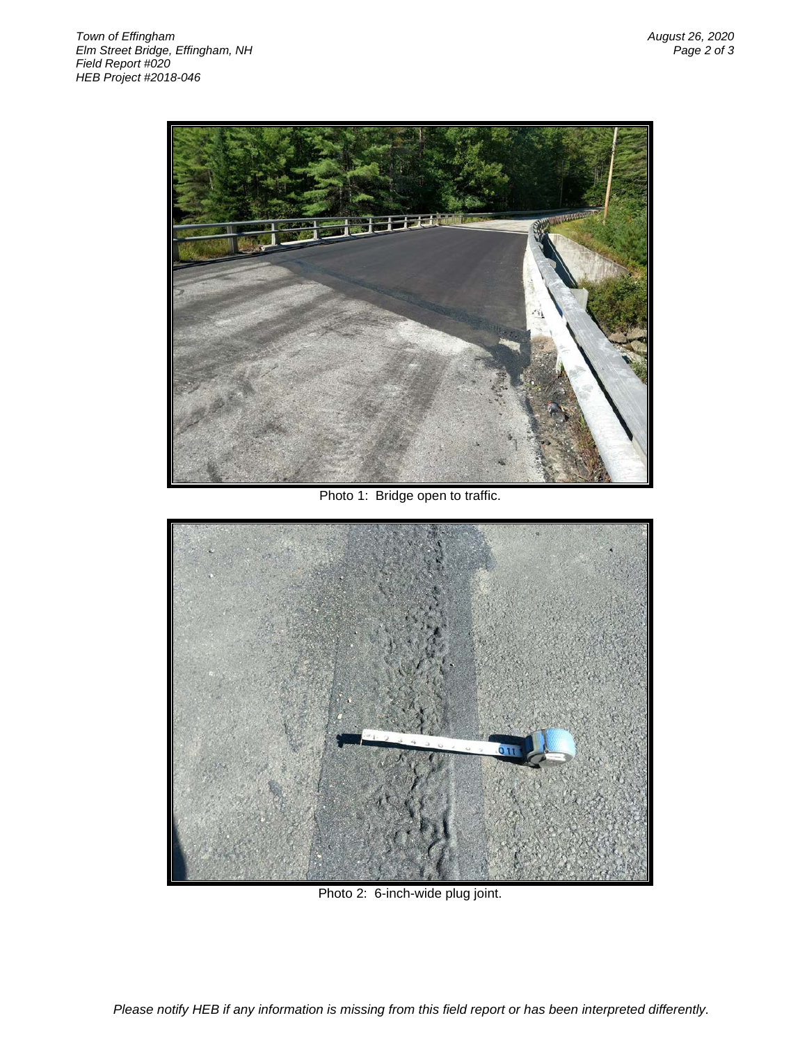

Photo 1: Bridge open to traffic.



Photo 2: 6-inch-wide plug joint.